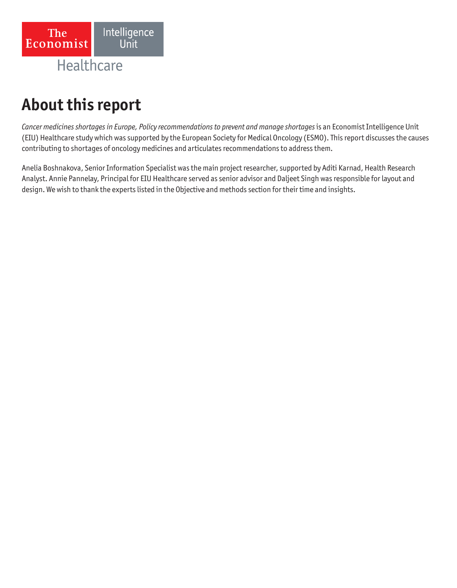

# **About this report**

*Cancer medicines shortages in Europe, Policy recommendations to prevent and manage shortages* is an Economist Intelligence Unit (EIU) Healthcare study which was supported by the European Society for Medical Oncology (ESMO). This report discusses the causes contributing to shortages of oncology medicines and articulates recommendations to address them.

Anelia Boshnakova, Senior Information Specialist was the main project researcher, supported by Aditi Karnad, Health Research Analyst. Annie Pannelay, Principal for EIU Healthcare served as senior advisor and Daljeet Singh was responsible for layout and design. We wish to thank the experts listed in the Objective and methods section for their time and insights.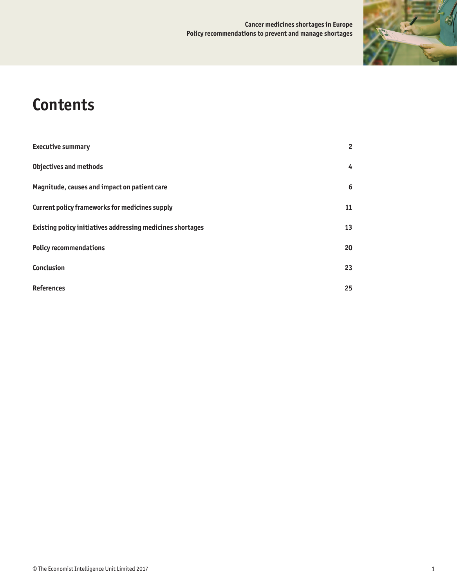### **Cancer medicines shortages in Europe Policy recommendations to prevent and manage shortages**



# **Contents**

| <b>Executive summary</b>                                   | $\overline{2}$ |
|------------------------------------------------------------|----------------|
| <b>Objectives and methods</b>                              | 4              |
| Magnitude, causes and impact on patient care               | 6              |
| Current policy frameworks for medicines supply             | 11             |
| Existing policy initiatives addressing medicines shortages | 13             |
| <b>Policy recommendations</b>                              |                |
| <b>Conclusion</b>                                          | 23             |
| <b>References</b>                                          | 25             |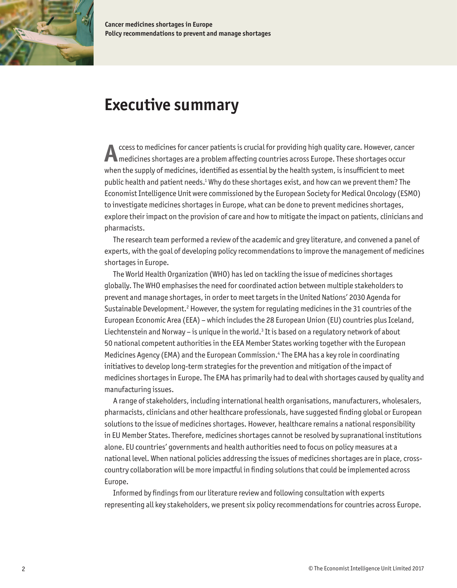<span id="page-3-0"></span>

**Cancer medicines shortages in Europe Policy recommendations to prevent and manage shortages**

# **Executive summary**

**A** ccess to medicines for cancer patients is crucial for providing high quality care. However, cancer medicines shortages are a problem affecting countries across Europe. These shortages occur when the supply of medicines, identified as essential by the health system, is insufficient to meet public health and patient needs.<sup>1</sup> Why do these shortages exist, and how can we prevent them? The Economist Intelligence Unit were commissioned by the European Society for Medical Oncology (ESMO) to investigate medicines shortages in Europe, what can be done to prevent medicines shortages, explore their impact on the provision of care and how to mitigate the impact on patients, clinicians and pharmacists.

The research team performed a review of the academic and grey literature, and convened a panel of experts, with the goal of developing policy recommendations to improve the management of medicines shortages in Europe.

The World Health Organization (WHO) has led on tackling the issue of medicines shortages globally. The WHO emphasises the need for coordinated action between multiple stakeholders to prevent and manage shortages, in order to meet targets in the United Nations' 2030 Agenda for Sustainable Development.<sup>2</sup> However, the system for regulating medicines in the 31 countries of the European Economic Area (EEA) – which includes the 28 European Union (EU) countries plus Iceland, Liechtenstein and Norway – is unique in the world. ${}^{3}$  It is based on a regulatory network of about 50 national competent authorities in the EEA Member States working together with the European Medicines Agency (EMA) and the European Commission.4 The EMA has a key role in coordinating initiatives to develop long-term strategies for the prevention and mitigation of the impact of medicines shortages in Europe. The EMA has primarily had to deal with shortages caused by quality and manufacturing issues.

A range of stakeholders, including international health organisations, manufacturers, wholesalers, pharmacists, clinicians and other healthcare professionals, have suggested finding global or European solutions to the issue of medicines shortages. However, healthcare remains a national responsibility in EU Member States. Therefore, medicines shortages cannot be resolved by supranational institutions alone. EU countries' governments and health authorities need to focus on policy measures at a national level. When national policies addressing the issues of medicines shortages are in place, crosscountry collaboration will be more impactful in finding solutions that could be implemented across Europe.

Informed by findings from our literature review and following consultation with experts representing all key stakeholders, we present six policy recommendations for countries across Europe.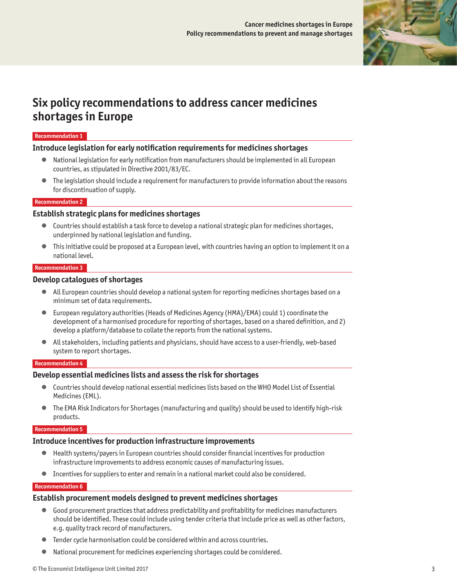

# **Six policy recommendations to address cancer medicines shortages in Europe**

#### **Recommendation 1**

#### **Introduce legislation for early notification requirements for medicines shortages**

- National legislation for early notification from manufacturers should be implemented in all European countries, as stipulated in Directive 2001/83/EC.
- The legislation should include a requirement for manufacturers to provide information about the reasons for discontinuation of supply.

#### **Recommendation 2**

#### **Establish strategic plans for medicines shortages**

- Countries should establish a task force to develop a national strategic plan for medicines shortages, underpinned by national legislation and funding.
- $\bullet$  This initiative could be proposed at a European level, with countries having an option to implement it on a national level.

#### **Recommendation 3**

#### **Develop catalogues of shortages**

- All European countries should develop a national system for reporting medicines shortages based on a minimum set of data requirements.
- European regulatory authorities (Heads of Medicines Agency (HMA)/EMA) could 1) coordinate the development of a harmonised procedure for reporting of shortages, based on a shared definition, and 2) develop a platform/database to collate the reports from the national systems.
- All stakeholders, including patients and physicians, should have access to a user-friendly, web-based system to report shortages.

#### **Recommendation 4**

#### **Develop essential medicines lists and assess the risk for shortages**

- Countries should develop national essential medicines lists based on the WHO Model List of Essential Medicines (EML).
- The EMA Risk Indicators for Shortages (manufacturing and quality) should be used to identify high-risk products.

#### **Recommendation 5**

### **Introduce incentives for production infrastructure improvements**

- Health systems/payers in European countries should consider financial incentives for production infrastructure improvements to address economic causes of manufacturing issues.
- Incentives for suppliers to enter and remain in a national market could also be considered.

#### **Recommendation 6**

#### **Establish procurement models designed to prevent medicines shortages**

- Good procurement practices that address predictability and profitability for medicines manufacturers should be identified. These could include using tender criteria that include price as well as other factors, e.g. quality track record of manufacturers.
- Tender cycle harmonisation could be considered within and across countries.
- National procurement for medicines experiencing shortages could be considered.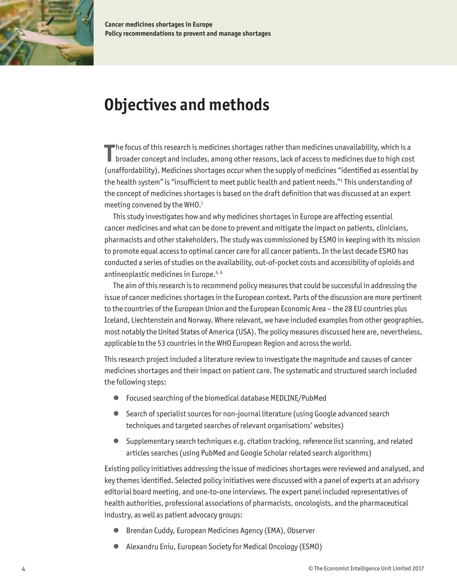<span id="page-5-0"></span>

**Cancer medicines shortages in Europe Policy recommendations to prevent and manage shortages**

# **Objectives and methods**

The focus of this research is medicines shortages rather than medicines unavailability, which is a<br>broader concept and includes, among other reasons, lack of access to medicines due to high cos **I** broader concept and includes, among other reasons, lack of access to medicines due to high cost (unaffordability). Medicines shortages occur when the supply of medicines "identified as essential by the health system" is "insufficient to meet public health and patient needs."<sup>1</sup> This understanding of the concept of medicines shortages is based on the draft definition that was discussed at an expert meeting convened by the WHO.<sup>1</sup>

This study investigates how and why medicines shortages in Europe are affecting essential cancer medicines and what can be done to prevent and mitigate the impact on patients, clinicians, pharmacists and other stakeholders. The study was commissioned by ESMO in keeping with its mission to promote equal access to optimal cancer care for all cancer patients. In the last decade ESMO has conducted a series of studies on the availability, out-of-pocket costs and accessibility of opioids and antineoplastic medicines in Europe.5, 6

The aim of this research is to recommend policy measures that could be successful in addressing the issue of cancer medicines shortages in the European context. Parts of the discussion are more pertinent to the countries of the European Union and the European Economic Area – the 28 EU countries plus Iceland, Liechtenstein and Norway. Where relevant, we have included examples from other geographies, most notably the United States of America (USA). The policy measures discussed here are, nevertheless, applicable to the 53 countries in the WHO European Region and across the world.

This research project included a literature review to investigate the magnitude and causes of cancer medicines shortages and their impact on patient care. The systematic and structured search included the following steps:

- Focused searching of the biomedical database MEDLINE/PubMed
- Search of specialist sources for non-journal literature (using Google advanced search techniques and targeted searches of relevant organisations' websites)
- Supplementary search techniques e.g. citation tracking, reference list scanning, and related articles searches (using PubMed and Google Scholar related search algorithms)

Existing policy initiatives addressing the issue of medicines shortages were reviewed and analysed, and key themes identified. Selected policy initiatives were discussed with a panel of experts at an advisory editorial board meeting, and one-to-one interviews. The expert panel included representatives of health authorities, professional associations of pharmacists, oncologists, and the pharmaceutical industry, as well as patient advocacy groups:

- Brendan Cuddy, European Medicines Agency (EMA), Observer
- Alexandru Eniu, European Society for Medical Oncology (ESMO)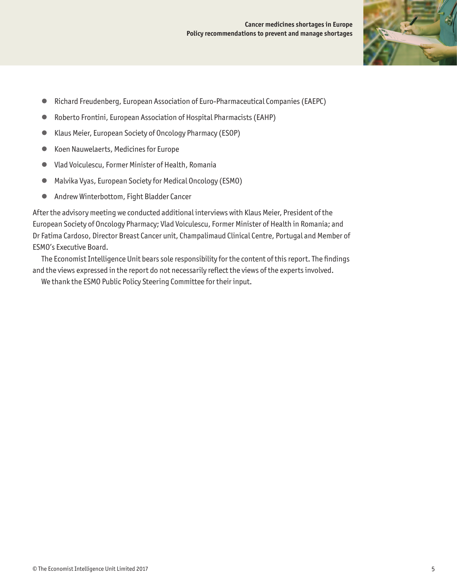

- Richard Freudenberg, European Association of Euro-Pharmaceutical Companies (EAEPC)
- Roberto Frontini, European Association of Hospital Pharmacists (EAHP)
- Klaus Meier, European Society of Oncology Pharmacy (ESOP)
- Koen Nauwelaerts, Medicines for Europe
- Vlad Voiculescu, Former Minister of Health, Romania
- Malvika Vyas, European Society for Medical Oncology (ESMO)
- Andrew Winterbottom, Fight Bladder Cancer

After the advisory meeting we conducted additional interviews with Klaus Meier, President of the European Society of Oncology Pharmacy; Vlad Voiculescu, Former Minister of Health in Romania; and Dr Fatima Cardoso, Director Breast Cancer unit, Champalimaud Clinical Centre, Portugal and Member of ESMO's Executive Board.

The Economist Intelligence Unit bears sole responsibility for the content of this report. The findings and the views expressed in the report do not necessarily reflect the views of the experts involved.

We thank the ESMO Public Policy Steering Committee for their input.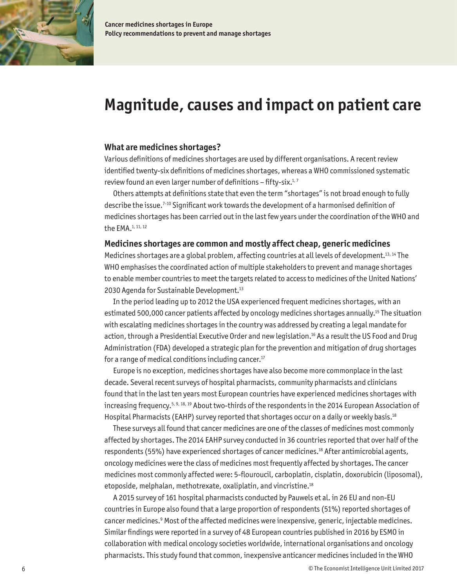<span id="page-7-0"></span>

# **Magnitude, causes and impact on patient care**

#### **What are medicines shortages?**

Various definitions of medicines shortages are used by different organisations. A recent review identified twenty-six definitions of medicines shortages, whereas a WHO commissioned systematic review found an even larger number of definitions – fifty-six.<sup>1,7</sup>

Others attempts at definitions state that even the term "shortages" is not broad enough to fully describe the issue.7-10 Significant work towards the development of a harmonised definition of medicines shortages has been carried out in the last few years under the coordination of the WHO and the EMA.1, 11, 12

## **Medicines shortages are common and mostly affect cheap, generic medicines**

Medicines shortages are a global problem, affecting countries at all levels of development.13, 14 The WHO emphasises the coordinated action of multiple stakeholders to prevent and manage shortages to enable member countries to meet the targets related to access to medicines of the United Nations' 2030 Agenda for Sustainable Development.<sup>13</sup>

In the period leading up to 2012 the USA experienced frequent medicines shortages, with an estimated 500,000 cancer patients affected by oncology medicines shortages annually.15 The situation with escalating medicines shortages in the country was addressed by creating a legal mandate for action, through a Presidential Executive Order and new legislation.<sup>16</sup> As a result the US Food and Drug Administration (FDA) developed a strategic plan for the prevention and mitigation of drug shortages for a range of medical conditions including cancer.<sup>17</sup>

Europe is no exception, medicines shortages have also become more commonplace in the last decade. Several recent surveys of hospital pharmacists, community pharmacists and clinicians found that in the last ten years most European countries have experienced medicines shortages with increasing frequency.<sup>5, 9, 18, 19</sup> About two-thirds of the respondents in the 2014 European Association of Hospital Pharmacists (EAHP) survey reported that shortages occur on a daily or weekly basis.<sup>18</sup>

These surveys all found that cancer medicines are one of the classes of medicines most commonly affected by shortages. The 2014 EAHP survey conducted in 36 countries reported that over half of the respondents (55%) have experienced shortages of cancer medicines.<sup>18</sup> After antimicrobial agents, oncology medicines were the class of medicines most frequently affected by shortages. The cancer medicines most commonly affected were: 5-flouroucil, carboplatin, cisplatin, doxorubicin (liposomal), etoposide, melphalan, methotrexate, oxaliplatin, and vincristine.18

A 2015 survey of 161 hospital pharmacists conducted by Pauwels et al. in 26 EU and non-EU countries in Europe also found that a large proportion of respondents (51%) reported shortages of cancer medicines.<sup>9</sup> Most of the affected medicines were inexpensive, generic, injectable medicines. Similar findings were reported in a survey of 48 European countries published in 2016 by ESMO in collaboration with medical oncology societies worldwide, international organisations and oncology pharmacists. This study found that common, inexpensive anticancer medicines included in the WHO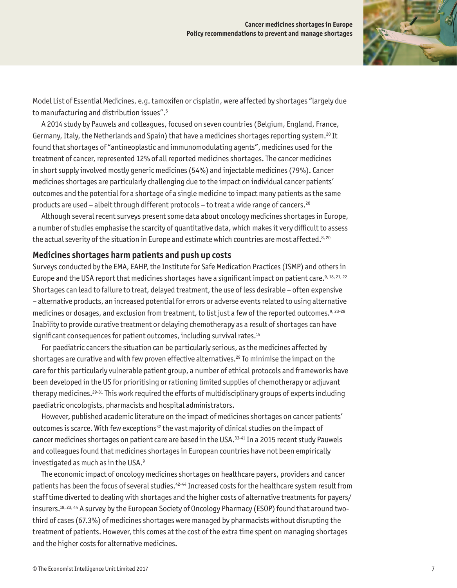

Model List of Essential Medicines, e.g. tamoxifen or cisplatin, were affected by shortages "largely due to manufacturing and distribution issues".5

A 2014 study by Pauwels and colleagues, focused on seven countries (Belgium, England, France, Germany, Italy, the Netherlands and Spain) that have a medicines shortages reporting system.20 It found that shortages of "antineoplastic and immunomodulating agents", medicines used for the treatment of cancer, represented 12% of all reported medicines shortages. The cancer medicines in short supply involved mostly generic medicines (54%) and injectable medicines (79%). Cancer medicines shortages are particularly challenging due to the impact on individual cancer patients' outcomes and the potential for a shortage of a single medicine to impact many patients as the same products are used – albeit through different protocols – to treat a wide range of cancers.<sup>20</sup>

Although several recent surveys present some data about oncology medicines shortages in Europe, a number of studies emphasise the scarcity of quantitative data, which makes it very difficult to assess the actual severity of the situation in Europe and estimate which countries are most affected.<sup>8, 20</sup>

#### **Medicines shortages harm patients and push up costs**

Surveys conducted by the EMA, EAHP, the Institute for Safe Medication Practices (ISMP) and others in Europe and the USA report that medicines shortages have a significant impact on patient care.<sup>9, 18, 21, 22</sup> Shortages can lead to failure to treat, delayed treatment, the use of less desirable – often expensive – alternative products, an increased potential for errors or adverse events related to using alternative medicines or dosages, and exclusion from treatment, to list just a few of the reported outcomes.<sup>9, 23-28</sup> Inability to provide curative treatment or delaying chemotherapy as a result of shortages can have significant consequences for patient outcomes, including survival rates.<sup>15</sup>

For paediatric cancers the situation can be particularly serious, as the medicines affected by shortages are curative and with few proven effective alternatives.<sup>29</sup> To minimise the impact on the care for this particularly vulnerable patient group, a number of ethical protocols and frameworks have been developed in the US for prioritising or rationing limited supplies of chemotherapy or adjuvant therapy medicines.29-31 This work required the efforts of multidisciplinary groups of experts including paediatric oncologists, pharmacists and hospital administrators.

However, published academic literature on the impact of medicines shortages on cancer patients' outcomes is scarce. With few exceptions<sup>32</sup> the vast majority of clinical studies on the impact of cancer medicines shortages on patient care are based in the USA.<sup>33-41</sup> In a 2015 recent study Pauwels and colleagues found that medicines shortages in European countries have not been empirically investigated as much as in the USA. $^9$ 

The economic impact of oncology medicines shortages on healthcare payers, providers and cancer patients has been the focus of several studies.<sup>42-44</sup> Increased costs for the healthcare system result from staff time diverted to dealing with shortages and the higher costs of alternative treatments for payers/ insurers.<sup>18, 23, 44</sup> A survey by the European Society of Oncology Pharmacy (ESOP) found that around twothird of cases (67.3%) of medicines shortages were managed by pharmacists without disrupting the treatment of patients. However, this comes at the cost of the extra time spent on managing shortages and the higher costs for alternative medicines.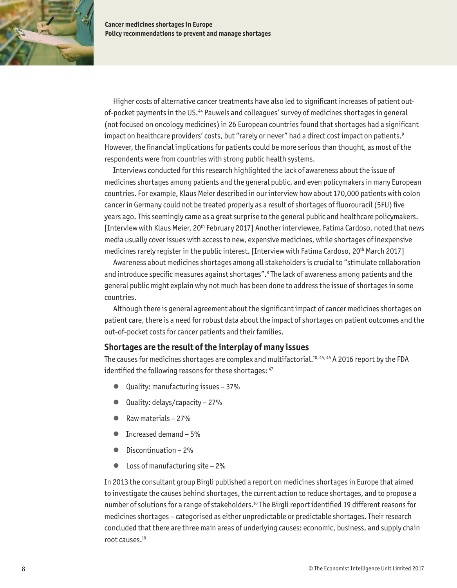

Higher costs of alternative cancer treatments have also led to significant increases of patient outof-pocket payments in the US.44 Pauwels and colleagues' survey of medicines shortages in general (not focused on oncology medicines) in 26 European countries found that shortages had a significant impact on healthcare providers' costs, but "rarely or never" had a direct cost impact on patients.<sup>9</sup> However, the financial implications for patients could be more serious than thought, as most of the respondents were from countries with strong public health systems.

Interviews conducted for this research highlighted the lack of awareness about the issue of medicines shortages among patients and the general public, and even policymakers in many European countries. For example, Klaus Meier described in our interview how about 170,000 patients with colon cancer in Germany could not be treated properly as a result of shortages of fluorouracil (5FU) five years ago. This seemingly came as a great surprise to the general public and healthcare policymakers. [Interview with Klaus Meier, 20th February 2017] Another interviewee, Fatima Cardoso, noted that news media usually cover issues with access to new, expensive medicines, while shortages of inexpensive medicines rarely register in the public interest. [Interview with Fatima Cardoso, 20th March 2017]

Awareness about medicines shortages among all stakeholders is crucial to "stimulate collaboration and introduce specific measures against shortages".<sup>8</sup> The lack of awareness among patients and the general public might explain why not much has been done to address the issue of shortages in some countries.

Although there is general agreement about the significant impact of cancer medicines shortages on patient care, there is a need for robust data about the impact of shortages on patient outcomes and the out-of-pocket costs for cancer patients and their families.

### **Shortages are the result of the interplay of many issues**

The causes for medicines shortages are complex and multifactorial.<sup>10, 45, 46</sup> A 2016 report by the FDA identified the following reasons for these shortages:  $47$ 

- Quality: manufacturing issues 37%
- Quality: delays/capacity 27%
- Raw materials 27%
- Increased demand 5%
- Discontinuation 2%
- Loss of manufacturing site 2%

In 2013 the consultant group Birgli published a report on medicines shortages in Europe that aimed to investigate the causes behind shortages, the current action to reduce shortages, and to propose a number of solutions for a range of stakeholders.10 The Birgli report identified 19 different reasons for medicines shortages – categorised as either unpredictable or predictable shortages. Their research concluded that there are three main areas of underlying causes: economic, business, and supply chain root causes.10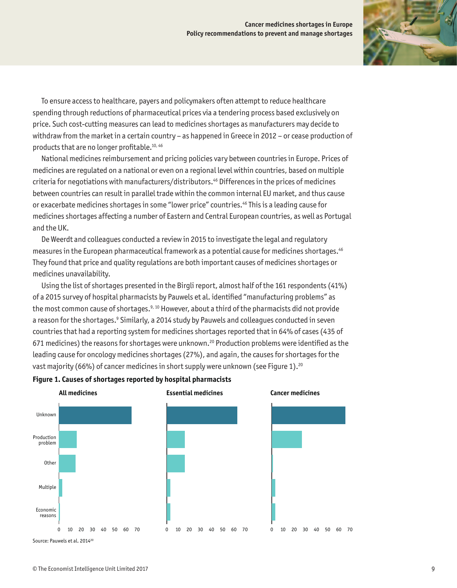

To ensure access to healthcare, payers and policymakers often attempt to reduce healthcare spending through reductions of pharmaceutical prices via a tendering process based exclusively on price. Such cost-cutting measures can lead to medicines shortages as manufacturers may decide to withdraw from the market in a certain country – as happened in Greece in 2012 – or cease production of products that are no longer profitable.10, 46

National medicines reimbursement and pricing policies vary between countries in Europe. Prices of medicines are regulated on a national or even on a regional level within countries, based on multiple criteria for negotiations with manufacturers/distributors.46 Differences in the prices of medicines between countries can result in parallel trade within the common internal EU market, and thus cause or exacerbate medicines shortages in some "lower price" countries.46 This is a leading cause for medicines shortages affecting a number of Eastern and Central European countries, as well as Portugal and the UK.

De Weerdt and colleagues conducted a review in 2015 to investigate the legal and regulatory measures in the European pharmaceutical framework as a potential cause for medicines shortages.46 They found that price and quality regulations are both important causes of medicines shortages or medicines unavailability.

Using the list of shortages presented in the Birgli report, almost half of the 161 respondents (41%) of a 2015 survey of hospital pharmacists by Pauwels et al. identified "manufacturing problems" as the most common cause of shortages.<sup>9, 10</sup> However, about a third of the pharmacists did not provide a reason for the shortages.<sup>9</sup> Similarly, a 2014 study by Pauwels and colleagues conducted in seven countries that had a reporting system for medicines shortages reported that in 64% of cases (435 of 671 medicines) the reasons for shortages were unknown.20 Production problems were identified as the leading cause for oncology medicines shortages (27%), and again, the causes for shortages for the vast majority (66%) of cancer medicines in short supply were unknown (see Figure 1).<sup>20</sup>



#### **Figure 1. Causes of shortages reported by hospital pharmacists**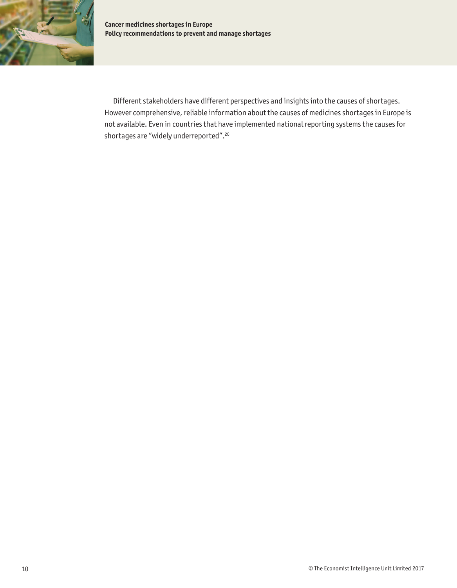

Different stakeholders have different perspectives and insights into the causes of shortages. However comprehensive, reliable information about the causes of medicines shortages in Europe is not available. Even in countries that have implemented national reporting systems the causes for shortages are "widely underreported".20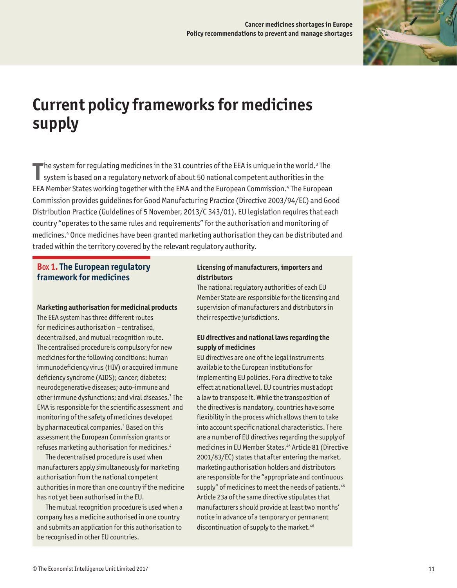

# <span id="page-12-0"></span>**Current policy frameworks for medicines supply**

**T** he system for regulating medicines in the 31 countries of the EEA is unique in the world. $^3$  The system is based on a regulatory network of about 50 national competent authorities in the EEA Member States working together with the EMA and the European Commission.4 The European Commission provides guidelines for Good Manufacturing Practice (Directive 2003/94/EC) and Good Distribution Practice (Guidelines of 5 November, 2013/C 343/01). EU legislation requires that each country "operates to the same rules and requirements" for the authorisation and monitoring of medicines.4 Once medicines have been granted marketing authorisation they can be distributed and traded within the territory covered by the relevant regulatory authority.

## **Box 1. The European regulatory framework for medicines**

#### **Marketing authorisation for medicinal products**

The EEA system has three different routes for medicines authorisation – centralised, decentralised, and mutual recognition route. The centralised procedure is compulsory for new medicines for the following conditions: human immunodeficiency virus (HIV) or acquired immune deficiency syndrome (AIDS); cancer; diabetes; neurodegenerative diseases; auto-immune and other immune dysfunctions; and viral diseases.<sup>3</sup> The EMA is responsible for the scientific assessment and monitoring of the safety of medicines developed by pharmaceutical companies.<sup>3</sup> Based on this assessment the European Commission grants or refuses marketing authorisation for medicines.4

The decentralised procedure is used when manufacturers apply simultaneously for marketing authorisation from the national competent authorities in more than one country if the medicine has not yet been authorised in the EU.

The mutual recognition procedure is used when a company has a medicine authorised in one country and submits an application for this authorisation to be recognised in other EU countries.

#### **Licensing of manufacturers, importers and distributors**

The national regulatory authorities of each EU Member State are responsible for the licensing and supervision of manufacturers and distributors in their respective jurisdictions.

#### **EU directives and national laws regarding the supply of medicines**

EU directives are one of the legal instruments available to the European institutions for implementing EU policies. For a directive to take effect at national level, EU countries must adopt a law to transpose it. While the transposition of the directives is mandatory, countries have some flexibility in the process which allows them to take into account specific national characteristics. There are a number of EU directives regarding the supply of medicines in EU Member States.<sup>46</sup> Article 81 (Directive 2001/83/EC) states that after entering the market, marketing authorisation holders and distributors are responsible for the "appropriate and continuous supply" of medicines to meet the needs of patients.<sup>46</sup> Article 23a of the same directive stipulates that manufacturers should provide at least two months' notice in advance of a temporary or permanent discontinuation of supply to the market.<sup>46</sup>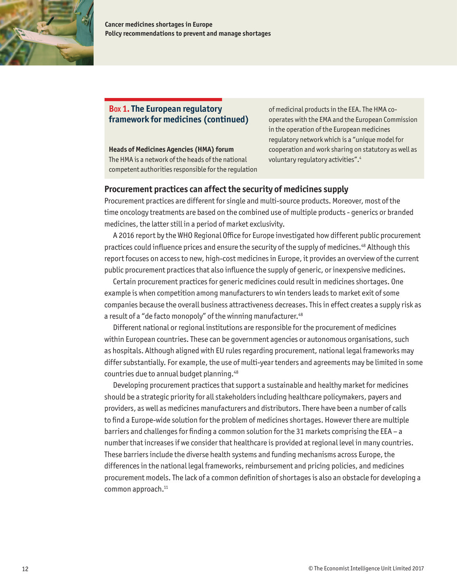

**Cancer medicines shortages in Europe Policy recommendations to prevent and manage shortages**

## **Box 1. The European regulatory framework for medicines (continued)**

**Heads of Medicines Agencies (HMA) forum**

The HMA is a network of the heads of the national competent authorities responsible for the regulation of medicinal products in the EEA. The HMA cooperates with the EMA and the European Commission in the operation of the European medicines regulatory network which is a "unique model for cooperation and work sharing on statutory as well as voluntary regulatory activities".4

### **Procurement practices can affect the security of medicines supply**

Procurement practices are different for single and multi-source products. Moreover, most of the time oncology treatments are based on the combined use of multiple products - generics or branded medicines, the latter still in a period of market exclusivity.

A 2016 report by the WHO Regional Office for Europe investigated how different public procurement practices could influence prices and ensure the security of the supply of medicines.48 Although this report focuses on access to new, high-cost medicines in Europe, it provides an overview of the current public procurement practices that also influence the supply of generic, or inexpensive medicines.

Certain procurement practices for generic medicines could result in medicines shortages. One example is when competition among manufacturers to win tenders leads to market exit of some companies because the overall business attractiveness decreases. This in effect creates a supply risk as a result of a "de facto monopoly" of the winning manufacturer.<sup>48</sup>

Different national or regional institutions are responsible for the procurement of medicines within European countries. These can be government agencies or autonomous organisations, such as hospitals. Although aligned with EU rules regarding procurement, national legal frameworks may differ substantially. For example, the use of multi-year tenders and agreements may be limited in some countries due to annual budget planning.48

Developing procurement practices that support a sustainable and healthy market for medicines should be a strategic priority for all stakeholders including healthcare policymakers, payers and providers, as well as medicines manufacturers and distributors. There have been a number of calls to find a Europe-wide solution for the problem of medicines shortages. However there are multiple barriers and challenges for finding a common solution for the 31 markets comprising the EEA – a number that increases if we consider that healthcare is provided at regional level in many countries. These barriers include the diverse health systems and funding mechanisms across Europe, the differences in the national legal frameworks, reimbursement and pricing policies, and medicines procurement models. The lack of a common definition of shortages is also an obstacle for developing a common approach.<sup>11</sup>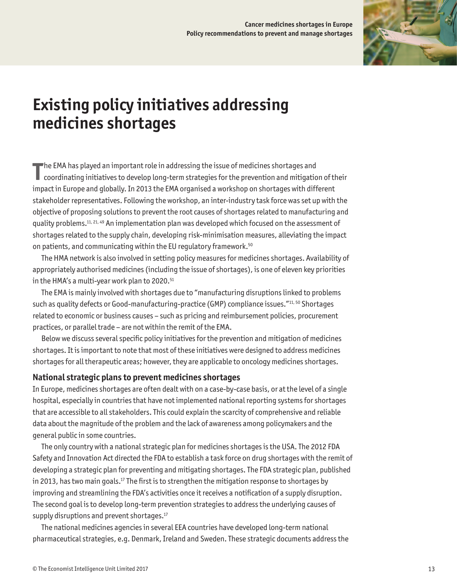

# <span id="page-14-0"></span>**Existing policy initiatives addressing medicines shortages**

**T** he EMA has played an important role in addressing the issue of medicines shortages and coordinating initiatives to develop long-term strategies for the prevention and mitigation of their impact in Europe and globally. In 2013 the EMA organised a workshop on shortages with different stakeholder representatives. Following the workshop, an inter-industry task force was set up with the objective of proposing solutions to prevent the root causes of shortages related to manufacturing and quality problems.11, 21, 49 An implementation plan was developed which focused on the assessment of shortages related to the supply chain, developing risk-minimisation measures, alleviating the impact on patients, and communicating within the EU regulatory framework.<sup>50</sup>

The HMA network is also involved in setting policy measures for medicines shortages. Availability of appropriately authorised medicines (including the issue of shortages), is one of eleven key priorities in the HMA's a multi-year work plan to 2020.<sup>51</sup>

The EMA is mainly involved with shortages due to "manufacturing disruptions linked to problems such as quality defects or Good-manufacturing-practice (GMP) compliance issues."11, 50 Shortages related to economic or business causes – such as pricing and reimbursement policies, procurement practices, or parallel trade – are not within the remit of the EMA.

Below we discuss several specific policy initiatives for the prevention and mitigation of medicines shortages. It is important to note that most of these initiatives were designed to address medicines shortages for all therapeutic areas; however, they are applicable to oncology medicines shortages.

## **National strategic plans to prevent medicines shortages**

In Europe, medicines shortages are often dealt with on a case-by-case basis, or at the level of a single hospital, especially in countries that have not implemented national reporting systems for shortages that are accessible to all stakeholders. This could explain the scarcity of comprehensive and reliable data about the magnitude of the problem and the lack of awareness among policymakers and the general public in some countries.

The only country with a national strategic plan for medicines shortages is the USA. The 2012 FDA Safety and Innovation Act directed the FDA to establish a task force on drug shortages with the remit of developing a strategic plan for preventing and mitigating shortages. The FDA strategic plan, published in 2013, has two main goals.<sup>17</sup> The first is to strengthen the mitigation response to shortages by improving and streamlining the FDA's activities once it receives a notification of a supply disruption. The second goal is to develop long-term prevention strategies to address the underlying causes of supply disruptions and prevent shortages.<sup>17</sup>

The national medicines agencies in several EEA countries have developed long-term national pharmaceutical strategies, e.g. Denmark, Ireland and Sweden. These strategic documents address the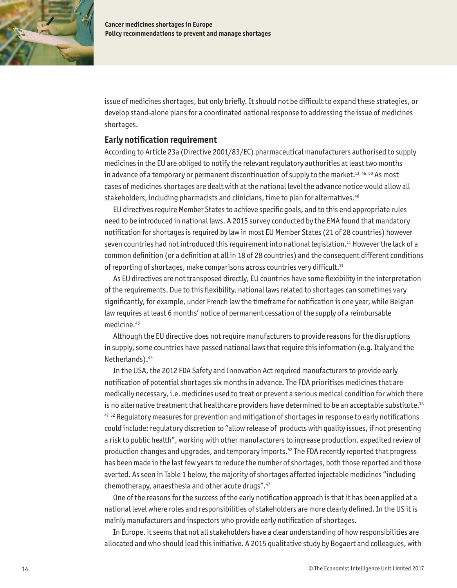

issue of medicines shortages, but only briefly. It should not be difficult to expand these strategies, or develop stand-alone plans for a coordinated national response to addressing the issue of medicines shortages.

#### **Early notification requirement**

According to Article 23a (Directive 2001/83/EC) pharmaceutical manufacturers authorised to supply medicines in the EU are obliged to notify the relevant regulatory authorities at least two months in advance of a temporary or permanent discontinuation of supply to the market.<sup>13, 46, 50</sup> As most cases of medicines shortages are dealt with at the national level the advance notice would allow all stakeholders, including pharmacists and clinicians, time to plan for alternatives.<sup>46</sup>

EU directives require Member States to achieve specific goals, and to this end appropriate rules need to be introduced in national laws. A 2015 survey conducted by the EMA found that mandatory notification for shortages is required by law in most EU Member States (21 of 28 countries) however seven countries had not introduced this requirement into national legislation.<sup>11</sup> However the lack of a common definition (or a definition at all in 18 of 28 countries) and the consequent different conditions of reporting of shortages, make comparisons across countries very difficult.<sup>11</sup>

As EU directives are not transposed directly, EU countries have some flexibility in the interpretation of the requirements. Due to this flexibility, national laws related to shortages can sometimes vary significantly, for example, under French law the timeframe for notification is one year, while Belgian law requires at least 6 months' notice of permanent cessation of the supply of a reimbursable medicine.46

Although the EU directive does not require manufacturers to provide reasons for the disruptions in supply, some countries have passed national laws that require this information (e.g. Italy and the Netherlands).46

In the USA, the 2012 FDA Safety and Innovation Act required manufacturers to provide early notification of potential shortages six months in advance. The FDA prioritises medicines that are medically necessary, i.e. medicines used to treat or prevent a serious medical condition for which there is no alternative treatment that healthcare providers have determined to be an acceptable substitute.<sup>17,</sup>  $47,52$  Regulatory measures for prevention and mitigation of shortages in response to early notifications could include: regulatory discretion to "allow release of products with quality issues, if not presenting a risk to public health", working with other manufacturers to increase production, expedited review of production changes and upgrades, and temporary imports.52 The FDA recently reported that progress has been made in the last few years to reduce the number of shortages, both those reported and those averted. As seen in Table 1 below, the majority of shortages affected injectable medicines "including chemotherapy, anaesthesia and other acute drugs".47

One of the reasons for the success of the early notification approach is that it has been applied at a national level where roles and responsibilities of stakeholders are more clearly defined. In the US it is mainly manufacturers and inspectors who provide early notification of shortages.

In Europe, it seems that not all stakeholders have a clear understanding of how responsibilities are allocated and who should lead this initiative. A 2015 qualitative study by Bogaert and colleagues, with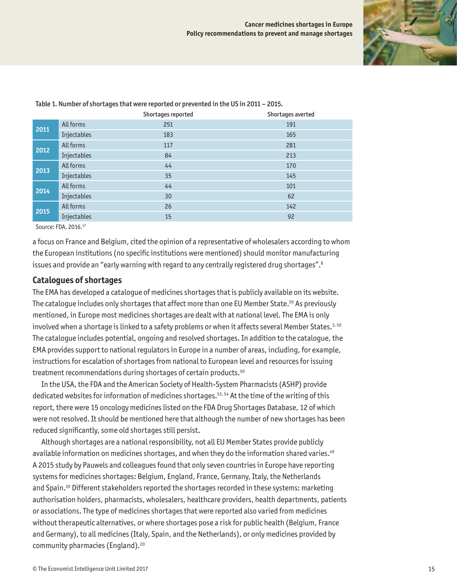

|      |             | Shortages reported | Shortages averted |
|------|-------------|--------------------|-------------------|
| 2011 | All forms   | 251                | 191               |
|      | Injectables | 183                | 165               |
| 2012 | All forms   | 117                | 281               |
|      | Injectables | 84                 | 213               |
| 2013 | All forms   | 44                 | 170               |
|      | Injectables | 35                 | 145               |
| 2014 | All forms   | 44                 | 101               |
|      | Injectables | 30                 | 62                |
| 2015 | All forms   | 26                 | 142               |
|      | Injectables | 15                 | 92                |

Table 1. Number of shortages that were reported or prevented in the US in 2011 – 2015.

Source: FDA, 2016.47

a focus on France and Belgium, cited the opinion of a representative of wholesalers according to whom the European institutions (no specific institutions were mentioned) should monitor manufacturing issues and provide an "early warning with regard to any centrally registered drug shortages".<sup>8</sup>

#### **Catalogues of shortages**

The EMA has developed a catalogue of medicines shortages that is publicly available on its website. The catalogue includes only shortages that affect more than one EU Member State.50 As previously mentioned, in Europe most medicines shortages are dealt with at national level. The EMA is only involved when a shortage is linked to a safety problems or when it affects several Member States.<sup>3, 50</sup> The catalogue includes potential, ongoing and resolved shortages. In addition to the catalogue, the EMA provides support to national regulators in Europe in a number of areas, including, for example, instructions for escalation of shortages from national to European level and resources for issuing treatment recommendations during shortages of certain products.<sup>50</sup>

In the USA, the FDA and the American Society of Health-System Pharmacists (ASHP) provide dedicated websites for information of medicines shortages.<sup>53, 54</sup> At the time of the writing of this report, there were 15 oncology medicines listed on the FDA Drug Shortages Database, 12 of which were not resolved. It should be mentioned here that although the number of new shortages has been reduced significantly, some old shortages still persist.

Although shortages are a national responsibility, not all EU Member States provide publicly available information on medicines shortages, and when they do the information shared varies.<sup>49</sup> A 2015 study by Pauwels and colleagues found that only seven countries in Europe have reporting systems for medicines shortages: Belgium, England, France, Germany, Italy, the Netherlands and Spain.<sup>20</sup> Different stakeholders reported the shortages recorded in these systems: marketing authorisation holders, pharmacists, wholesalers, healthcare providers, health departments, patients or associations. The type of medicines shortages that were reported also varied from medicines without therapeutic alternatives, or where shortages pose a risk for public health (Belgium, France and Germany), to all medicines (Italy, Spain, and the Netherlands), or only medicines provided by community pharmacies (England).<sup>20</sup>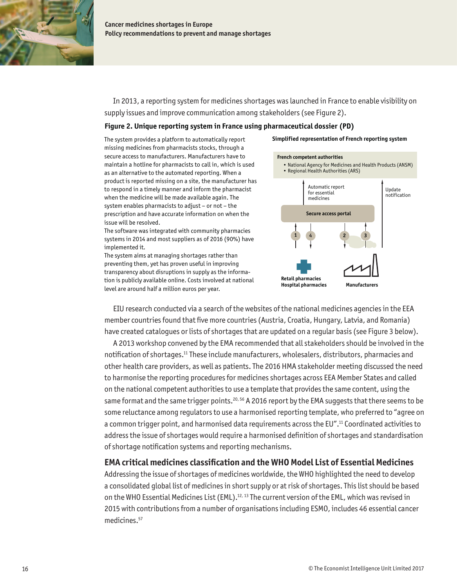

In 2013, a reporting system for medicines shortages was launched in France to enable visibility on supply issues and improve communication among stakeholders (see Figure 2).

#### **Figure 2. Unique reporting system in France using pharmaceutical dossier (PD)**

The system provides a platform to automatically report missing medicines from pharmacists stocks, through a secure access to manufacturers. Manufacturers have to maintain a hotline for pharmacists to call in, which is used as an alternative to the automated reporting. When a product is reported missing on a site, the manufacturer has to respond in a timely manner and inform the pharmacist when the medicine will be made available again. The system enables pharmacists to adjust – or not – the prescription and have accurate information on when the issue will be resolved.

The software was integrated with community pharmacies systems in 2014 and most suppliers as of 2016 (90%) have implemented it.

The system aims at managing shortages rather than preventing them, yet has proven useful in improving transparency about disruptions in supply as the information is publicly available online. Costs involved at national level are around half a million euros per year.

#### **Simplified representation of French reporting system**



EIU research conducted via a search of the websites of the national medicines agencies in the EEA member countries found that five more countries (Austria, Croatia, Hungary, Latvia, and Romania) have created catalogues or lists of shortages that are updated on a regular basis (see Figure 3 below).

A 2013 workshop convened by the EMA recommended that all stakeholders should be involved in the notification of shortages.11 These include manufacturers, wholesalers, distributors, pharmacies and other health care providers, as well as patients. The 2016 HMA stakeholder meeting discussed the need to harmonise the reporting procedures for medicines shortages across EEA Member States and called on the national competent authorities to use a template that provides the same content, using the same format and the same trigger points.<sup>20, 56</sup> A 2016 report by the EMA suggests that there seems to be some reluctance among regulators to use a harmonised reporting template, who preferred to "agree on a common trigger point, and harmonised data requirements across the EU".11 Coordinated activities to address the issue of shortages would require a harmonised definition of shortages and standardisation of shortage notification systems and reporting mechanisms.

## **EMA critical medicines classification and the WHO Model List of Essential Medicines**

Addressing the issue of shortages of medicines worldwide, the WHO highlighted the need to develop a consolidated global list of medicines in short supply or at risk of shortages. This list should be based on the WHO Essential Medicines List (EML).<sup>12, 13</sup> The current version of the EML, which was revised in 2015 with contributions from a number of organisations including ESMO, includes 46 essential cancer medicines.57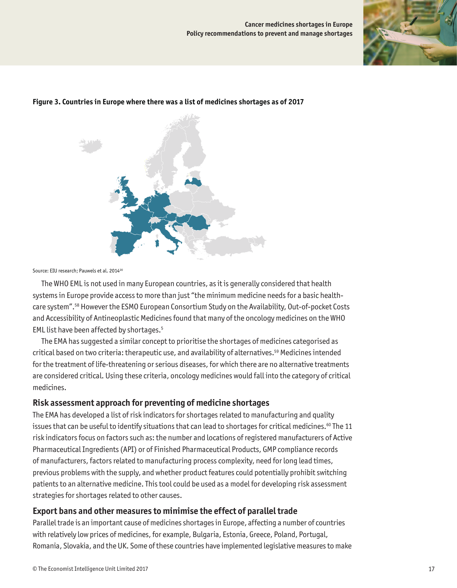



#### **Figure 3. Countries in Europe where there was a list of medicines shortages as of 2017**

Source: EIU research: Pauwels et al. 2014<sup>20</sup>

The WHO EML is not used in many European countries, as it is generally considered that health systems in Europe provide access to more than just "the minimum medicine needs for a basic healthcare system".58 However the ESMO European Consortium Study on the Availability, Out-of-pocket Costs and Accessibility of Antineoplastic Medicines found that many of the oncology medicines on the WHO EML list have been affected by shortages.5

The EMA has suggested a similar concept to prioritise the shortages of medicines categorised as critical based on two criteria: therapeutic use, and availability of alternatives.59 Medicines intended for the treatment of life-threatening or serious diseases, for which there are no alternative treatments are considered critical. Using these criteria, oncology medicines would fall into the category of critical medicines.

### **Risk assessment approach for preventing of medicine shortages**

The EMA has developed a list of risk indicators for shortages related to manufacturing and quality issues that can be useful to identify situations that can lead to shortages for critical medicines.<sup>60</sup> The 11 risk indicators focus on factors such as: the number and locations of registered manufacturers of Active Pharmaceutical Ingredients (API) or of Finished Pharmaceutical Products, GMP compliance records of manufacturers, factors related to manufacturing process complexity, need for long lead times, previous problems with the supply, and whether product features could potentially prohibit switching patients to an alternative medicine. This tool could be used as a model for developing risk assessment strategies for shortages related to other causes.

## **Export bans and other measures to minimise the effect of parallel trade**

Parallel trade is an important cause of medicines shortages in Europe, affecting a number of countries with relatively low prices of medicines, for example, Bulgaria, Estonia, Greece, Poland, Portugal, Romania, Slovakia, and the UK. Some of these countries have implemented legislative measures to make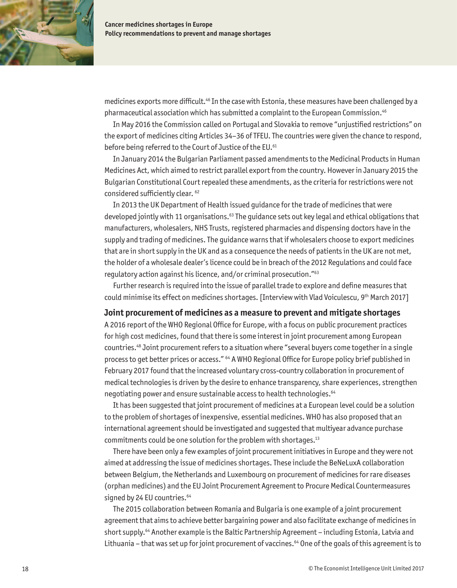

medicines exports more difficult.46 In the case with Estonia, these measures have been challenged by a pharmaceutical association which has submitted a complaint to the European Commission.46

In May 2016 the Commission called on Portugal and Slovakia to remove "unjustified restrictions" on the export of medicines citing Articles 34–36 of TFEU. The countries were given the chance to respond, before being referred to the Court of Justice of the EU.<sup>61</sup>

In January 2014 the Bulgarian Parliament passed amendments to the Medicinal Products in Human Medicines Act, which aimed to restrict parallel export from the country. However in January 2015 the Bulgarian Constitutional Court repealed these amendments, as the criteria for restrictions were not considered sufficiently clear. <sup>62</sup>

In 2013 the UK Department of Health issued guidance for the trade of medicines that were developed jointly with 11 organisations.63 The guidance sets out key legal and ethical obligations that manufacturers, wholesalers, NHS Trusts, registered pharmacies and dispensing doctors have in the supply and trading of medicines. The guidance warns that if wholesalers choose to export medicines that are in short supply in the UK and as a consequence the needs of patients in the UK are not met, the holder of a wholesale dealer's licence could be in breach of the 2012 Regulations and could face regulatory action against his licence, and/or criminal prosecution."63

Further research is required into the issue of parallel trade to explore and define measures that could minimise its effect on medicines shortages. [Interview with Vlad Voiculescu, 9th March 2017]

#### **Joint procurement of medicines as a measure to prevent and mitigate shortages**

A 2016 report of the WHO Regional Office for Europe, with a focus on public procurement practices for high cost medicines, found that there is some interest in joint procurement among European countries.48 Joint procurement refers to a situation where "several buyers come together in a single process to get better prices or access." 64 A WHO Regional Office for Europe policy brief published in February 2017 found that the increased voluntary cross-country collaboration in procurement of medical technologies is driven by the desire to enhance transparency, share experiences, strengthen negotiating power and ensure sustainable access to health technologies.<sup>64</sup>

It has been suggested that joint procurement of medicines at a European level could be a solution to the problem of shortages of inexpensive, essential medicines. WHO has also proposed that an international agreement should be investigated and suggested that multiyear advance purchase commitments could be one solution for the problem with shortages.13

There have been only a few examples of joint procurement initiatives in Europe and they were not aimed at addressing the issue of medicines shortages. These include the BeNeLuxA collaboration between Belgium, the Netherlands and Luxembourg on procurement of medicines for rare diseases (orphan medicines) and the EU Joint Procurement Agreement to Procure Medical Countermeasures signed by 24 EU countries.<sup>64</sup>

The 2015 collaboration between Romania and Bulgaria is one example of a joint procurement agreement that aims to achieve better bargaining power and also facilitate exchange of medicines in short supply.<sup>64</sup> Another example is the Baltic Partnership Agreement – including Estonia, Latvia and Lithuania - that was set up for joint procurement of vaccines.<sup>64</sup> One of the goals of this agreement is to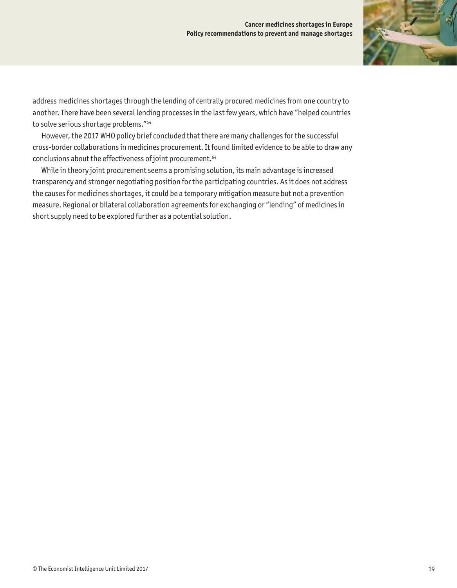

address medicines shortages through the lending of centrally procured medicines from one country to another. There have been several lending processes in the last few years, which have "helped countries to solve serious shortage problems."64

However, the 2017 WHO policy brief concluded that there are many challenges for the successful cross-border collaborations in medicines procurement. It found limited evidence to be able to draw any conclusions about the effectiveness of joint procurement.<sup>64</sup>

While in theory joint procurement seems a promising solution, its main advantage is increased transparency and stronger negotiating position for the participating countries. As it does not address the causes for medicines shortages, it could be a temporary mitigation measure but not a prevention measure. Regional or bilateral collaboration agreements for exchanging or "lending" of medicines in short supply need to be explored further as a potential solution.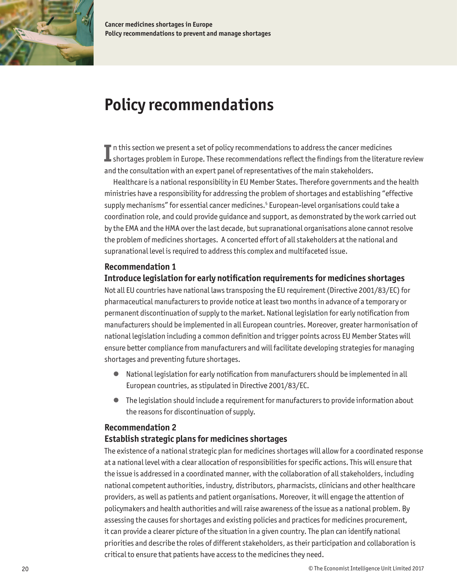<span id="page-21-0"></span>

**Cancer medicines shortages in Europe Policy recommendations to prevent and manage shortages**

# **Policy recommendations**

In this section we present a set of policy recommendations to address the cancer medicines<br>Shortages problem in Europe. These recommendations reflect the findings from the literature review  $\blacksquare$  n this section we present a set of policy recommendations to address the cancer medicines and the consultation with an expert panel of representatives of the main stakeholders.

Healthcare is a national responsibility in EU Member States. Therefore governments and the health ministries have a responsibility for addressing the problem of shortages and establishing "effective supply mechanisms" for essential cancer medicines.<sup>5</sup> European-level organisations could take a coordination role, and could provide guidance and support, as demonstrated by the work carried out by the EMA and the HMA over the last decade, but supranational organisations alone cannot resolve the problem of medicines shortages. A concerted effort of all stakeholders at the national and supranational level is required to address this complex and multifaceted issue.

## **Recommendation 1**

## **Introduce legislation for early notification requirements for medicines shortages**

Not all EU countries have national laws transposing the EU requirement (Directive 2001/83/EC) for pharmaceutical manufacturers to provide notice at least two months in advance of a temporary or permanent discontinuation of supply to the market. National legislation for early notification from manufacturers should be implemented in all European countries. Moreover, greater harmonisation of national legislation including a common definition and trigger points across EU Member States will ensure better compliance from manufacturers and will facilitate developing strategies for managing shortages and preventing future shortages.

- National legislation for early notification from manufacturers should be implemented in all European countries, as stipulated in Directive 2001/83/EC.
- The legislation should include a requirement for manufacturers to provide information about the reasons for discontinuation of supply.

### **Recommendation 2**

### **Establish strategic plans for medicines shortages**

The existence of a national strategic plan for medicines shortages will allow for a coordinated response at a national level with a clear allocation of responsibilities for specific actions. This will ensure that the issue is addressed in a coordinated manner, with the collaboration of all stakeholders, including national competent authorities, industry, distributors, pharmacists, clinicians and other healthcare providers, as well as patients and patient organisations. Moreover, it will engage the attention of policymakers and health authorities and will raise awareness of the issue as a national problem. By assessing the causes for shortages and existing policies and practices for medicines procurement, it can provide a clearer picture of the situation in a given country. The plan can identify national priorities and describe the roles of different stakeholders, as their participation and collaboration is critical to ensure that patients have access to the medicines they need.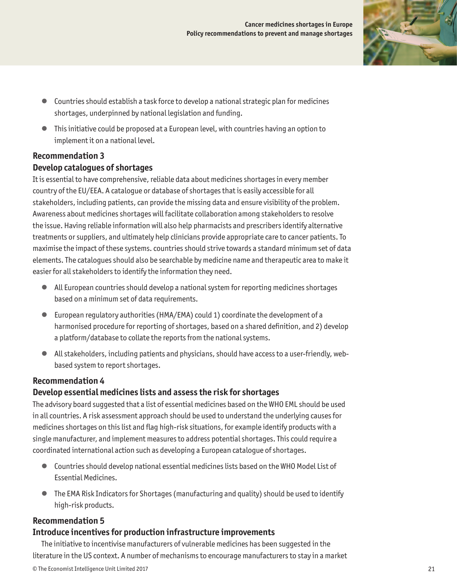

- Countries should establish a task force to develop a national strategic plan for medicines shortages, underpinned by national legislation and funding.
- This initiative could be proposed at a European level, with countries having an option to implement it on a national level.

# **Recommendation 3 Develop catalogues of shortages**

It is essential to have comprehensive, reliable data about medicines shortages in every member country of the EU/EEA. A catalogue or database of shortages that is easily accessible for all stakeholders, including patients, can provide the missing data and ensure visibility of the problem. Awareness about medicines shortages will facilitate collaboration among stakeholders to resolve the issue. Having reliable information will also help pharmacists and prescribers identify alternative treatments or suppliers, and ultimately help clinicians provide appropriate care to cancer patients. To maximise the impact of these systems. countries should strive towards a standard minimum set of data elements. The catalogues should also be searchable by medicine name and therapeutic area to make it easier for all stakeholders to identify the information they need.

- All European countries should develop a national system for reporting medicines shortages based on a minimum set of data requirements.
- European regulatory authorities (HMA/EMA) could 1) coordinate the development of a harmonised procedure for reporting of shortages, based on a shared definition, and 2) develop a platform/database to collate the reports from the national systems.
- All stakeholders, including patients and physicians, should have access to a user-friendly, webbased system to report shortages.

# **Recommendation 4**

# **Develop essential medicines lists and assess the risk for shortages**

The advisory board suggested that a list of essential medicines based on the WHO EML should be used in all countries. A risk assessment approach should be used to understand the underlying causes for medicines shortages on this list and flag high-risk situations, for example identify products with a single manufacturer, and implement measures to address potential shortages. This could require a coordinated international action such as developing a European catalogue of shortages.

- Countries should develop national essential medicines lists based on the WHO Model List of Essential Medicines.
- The EMA Risk Indicators for Shortages (manufacturing and quality) should be used to identify high-risk products.

# **Recommendation 5**

## **Introduce incentives for production infrastructure improvements**

The initiative to incentivise manufacturers of vulnerable medicines has been suggested in the literature in the US context. A number of mechanisms to encourage manufacturers to stay in a market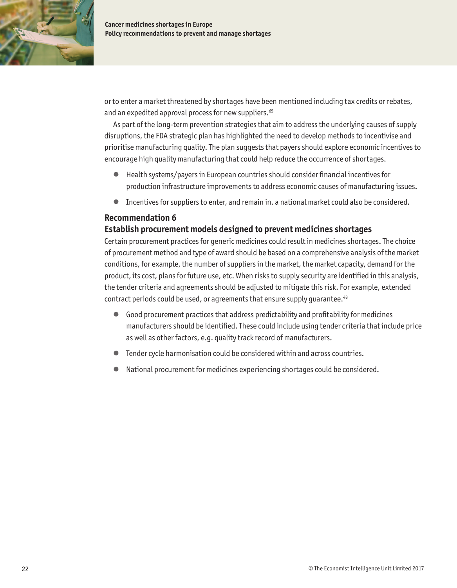

or to enter a market threatened by shortages have been mentioned including tax credits or rebates, and an expedited approval process for new suppliers.<sup>65</sup>

As part of the long-term prevention strategies that aim to address the underlying causes of supply disruptions, the FDA strategic plan has highlighted the need to develop methods to incentivise and prioritise manufacturing quality. The plan suggests that payers should explore economic incentives to encourage high quality manufacturing that could help reduce the occurrence of shortages.

- Health systems/payers in European countries should consider financial incentives for production infrastructure improvements to address economic causes of manufacturing issues.
- Incentives for suppliers to enter, and remain in, a national market could also be considered.

### **Recommendation 6**

## **Establish procurement models designed to prevent medicines shortages**

Certain procurement practices for generic medicines could result in medicines shortages. The choice of procurement method and type of award should be based on a comprehensive analysis of the market conditions, for example, the number of suppliers in the market, the market capacity, demand for the product, its cost, plans for future use, etc. When risks to supply security are identified in this analysis, the tender criteria and agreements should be adjusted to mitigate this risk. For example, extended contract periods could be used, or agreements that ensure supply quarantee.<sup>48</sup>

- Good procurement practices that address predictability and profitability for medicines manufacturers should be identified. These could include using tender criteria that include price as well as other factors, e.g. quality track record of manufacturers.
- Tender cycle harmonisation could be considered within and across countries.
- National procurement for medicines experiencing shortages could be considered.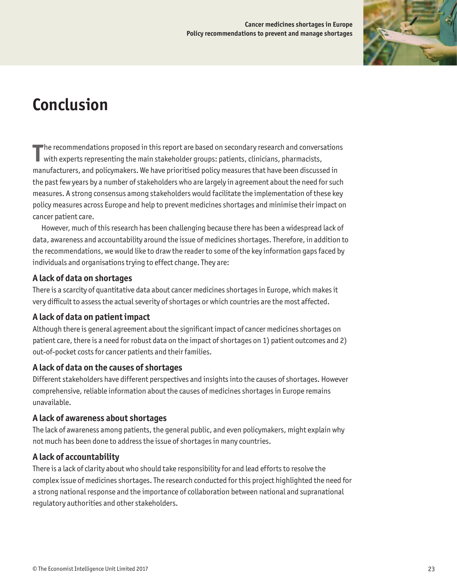

# <span id="page-24-0"></span>**Conclusion**

**T** he recommendations proposed in this report are based on secondary research and conversations with experts representing the main stakeholder groups: patients, clinicians, pharmacists, manufacturers, and policymakers. We have prioritised policy measures that have been discussed in the past few years by a number of stakeholders who are largely in agreement about the need for such measures. A strong consensus among stakeholders would facilitate the implementation of these key policy measures across Europe and help to prevent medicines shortages and minimise their impact on cancer patient care.

However, much of this research has been challenging because there has been a widespread lack of data, awareness and accountability around the issue of medicines shortages. Therefore, in addition to the recommendations, we would like to draw the reader to some of the key information gaps faced by individuals and organisations trying to effect change. They are:

# **A lack of data on shortages**

There is a scarcity of quantitative data about cancer medicines shortages in Europe, which makes it very difficult to assess the actual severity of shortages or which countries are the most affected.

# **A lack of data on patient impact**

Although there is general agreement about the significant impact of cancer medicines shortages on patient care, there is a need for robust data on the impact of shortages on 1) patient outcomes and 2) out-of-pocket costs for cancer patients and their families.

# **A lack of data on the causes of shortages**

Different stakeholders have different perspectives and insights into the causes of shortages. However comprehensive, reliable information about the causes of medicines shortages in Europe remains unavailable.

## **A lack of awareness about shortages**

The lack of awareness among patients, the general public, and even policymakers, might explain why not much has been done to address the issue of shortages in many countries.

# **A lack of accountability**

There is a lack of clarity about who should take responsibility for and lead efforts to resolve the complex issue of medicines shortages. The research conducted for this project highlighted the need for a strong national response and the importance of collaboration between national and supranational regulatory authorities and other stakeholders.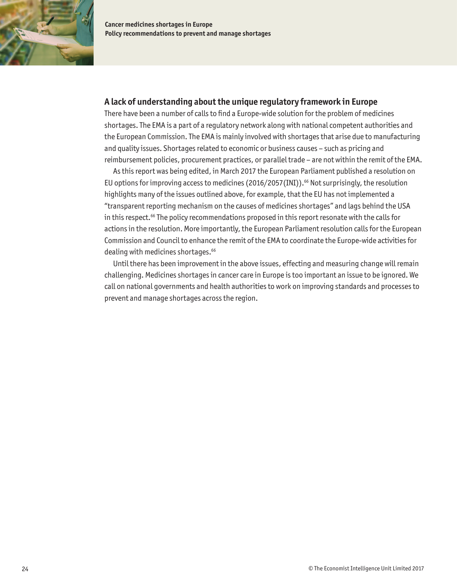

## **A lack of understanding about the unique regulatory framework in Europe**

There have been a number of calls to find a Europe-wide solution for the problem of medicines shortages. The EMA is a part of a regulatory network along with national competent authorities and the European Commission. The EMA is mainly involved with shortages that arise due to manufacturing and quality issues. Shortages related to economic or business causes – such as pricing and reimbursement policies, procurement practices, or parallel trade – are not within the remit of the EMA.

As this report was being edited, in March 2017 the European Parliament published a resolution on EU options for improving access to medicines (2016/2057(INI)).<sup>66</sup> Not surprisingly, the resolution highlights many of the issues outlined above, for example, that the EU has not implemented a "transparent reporting mechanism on the causes of medicines shortages" and lags behind the USA in this respect.<sup>66</sup> The policy recommendations proposed in this report resonate with the calls for actions in the resolution. More importantly, the European Parliament resolution calls for the European Commission and Council to enhance the remit of the EMA to coordinate the Europe-wide activities for dealing with medicines shortages.<sup>66</sup>

Until there has been improvement in the above issues, effecting and measuring change will remain challenging. Medicines shortages in cancer care in Europe is too important an issue to be ignored. We call on national governments and health authorities to work on improving standards and processes to prevent and manage shortages across the region.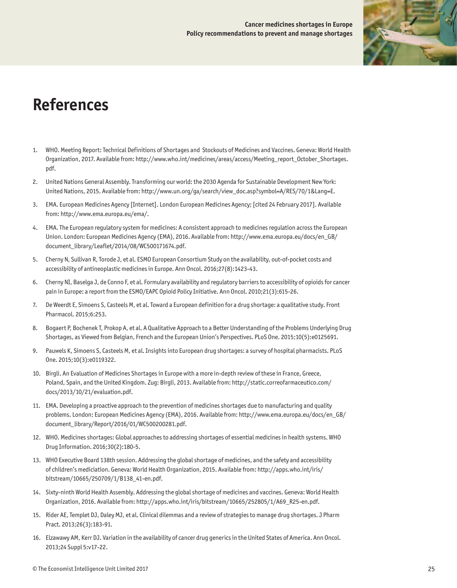

# <span id="page-26-0"></span>**References**

- 1. WHO. Meeting Report: Technical Definitions of Shortages and Stockouts of Medicines and Vaccines. Geneva: World Health Organization, 2017. Available from: [http://www.who.int/medicines/areas/access/Meeting\\_report\\_October\\_Shortages.](http://www.who.int/medicines/areas/access/Meeting_report_October_Shortages.pdf) [pdf](http://www.who.int/medicines/areas/access/Meeting_report_October_Shortages.pdf).
- 2. United Nations General Assembly. Transforming our world: the 2030 Agenda for Sustainable Development New York: United Nations, 2015. Available from: [http://www.un.org/ga/search/view\\_doc.asp?symbol=A/RES/70/1&Lang=E](http://www.un.org/ga/search/view_doc.asp?symbol=A/RES/70/1&Lang=E).
- 3. EMA. European Medicines Agency [Internet]. London European Medicines Agency; [cited 24 February 2017]. Available from: [http://www.ema.europa.eu/ema/.](http://www.ema.europa.eu/ema/)
- 4. EMA. The European regulatory system for medicines: A consistent approach to medicines regulation across the European Union. London: European Medicines Agency (EMA), 2016. Available from: [http://www.ema.europa.eu/docs/en\\_GB/](http://www.ema.europa.eu/docs/en_GB/document_library/Leaflet/2014/08/WC500171674.pdf) [document\\_library/Leaflet/2014/08/WC500171674.pdf](http://www.ema.europa.eu/docs/en_GB/document_library/Leaflet/2014/08/WC500171674.pdf).
- 5. Cherny N, Sullivan R, Torode J, et al. ESMO European Consortium Study on the availability, out-of-pocket costs and accessibility of antineoplastic medicines in Europe. Ann Oncol. 2016;27(8):1423-43.
- 6. Cherny NI, Baselga J, de Conno F, et al. Formulary availability and regulatory barriers to accessibility of opioids for cancer pain in Europe: a report from the ESMO/EAPC Opioid Policy Initiative. Ann Oncol. 2010;21(3):615-26.
- 7. De Weerdt E, Simoens S, Casteels M, et al. Toward a European definition for a drug shortage: a qualitative study. Front Pharmacol. 2015;6:253.
- 8. Bogaert P, Bochenek T, Prokop A, et al. A Qualitative Approach to a Better Understanding of the Problems Underlying Drug Shortages, as Viewed from Belgian, French and the European Union's Perspectives. PLoS One. 2015;10(5):e0125691.
- 9. Pauwels K, Simoens S, Casteels M, et al. Insights into European drug shortages: a survey of hospital pharmacists. PLoS One. 2015;10(3):e0119322.
- 10. Birgli. An Evaluation of Medicines Shortages in Europe with a more in-depth review of these in France, Greece, Poland, Spain, and the United Kingdom. Zug: Birgli, 2013. Available from: [http://static.correofarmaceutico.com/](http://static.correofarmaceutico.com/docs/2013/10/21/evaluation.pdf) [docs/2013/10/21/evaluation.pdf.](http://static.correofarmaceutico.com/docs/2013/10/21/evaluation.pdf)
- 11. EMA. Developing a proactive approach to the prevention of medicines shortages due to manufacturing and quality problems. London: European Medicines Agency (EMA), 2016. Available from: [http://www.ema.europa.eu/docs/en\\_GB/](http://www.ema.europa.eu/docs/en_GB/document_library/Report/2016/01/WC500200281.pdf) [document\\_library/Report/2016/01/WC500200281.pdf.](http://www.ema.europa.eu/docs/en_GB/document_library/Report/2016/01/WC500200281.pdf)
- 12. WHO. Medicines shortages: Global approaches to addressing shortages of essential medicines in health systems. WHO Drug Information. 2016;30(2):180-5.
- 13. WHO Executive Board 138th session. Addressing the global shortage of medicines, and the safety and accessibility of children's mediciation. Geneva: World Health Organization, 2015. Available from: [http://apps.who.int/iris/](http://apps.who.int/iris/bitstream/10665/250709/1/B138_41-en.pdf) [bitstream/10665/250709/1/B138\\_41-en.pdf.](http://apps.who.int/iris/bitstream/10665/250709/1/B138_41-en.pdf)
- 14. Sixty-ninth World Health Assembly. Addressing the global shortage of medicines and vaccines. Geneva: World Health Organization, 2016. Available from: [http://apps.who.int/iris/bitstream/10665/252805/1/A69\\_R25-en.pdf](http://apps.who.int/iris/bitstream/10665/252805/1/A69_R25-en.pdf).
- 15. Rider AE, Templet DJ, Daley MJ, et al. Clinical dilemmas and a review of strategies to manage drug shortages. J Pharm Pract. 2013;26(3):183-91.
- 16. Elzawawy AM, Kerr DJ. Variation in the availability of cancer drug generics in the United States of America. Ann Oncol. 2013;24 Suppl 5:v17-22.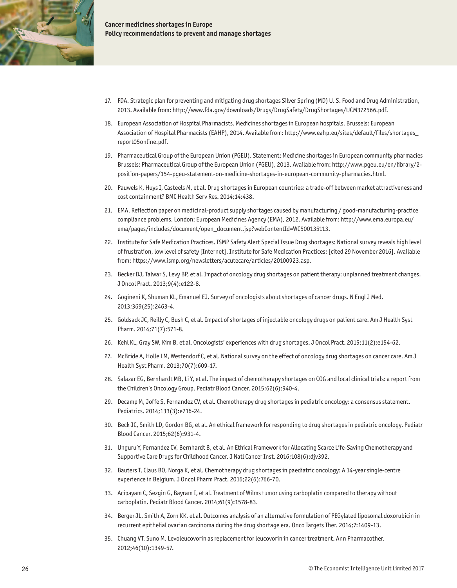

- 17. FDA. Strategic plan for preventing and mitigating drug shortages Silver Spring (MD) U. S. Food and Drug Administration, 2013. Available from:<http://www.fda.gov/downloads/Drugs/DrugSafety/DrugShortages/UCM372566.pdf>.
- 18. European Association of Hospital Pharmacists. Medicines shortages in European hospitals. Brussels: European Association of Hospital Pharmacists (EAHP), 2014. Available from: [http://www.eahp.eu/sites/default/files/shortages\\_](http://www.eahp.eu/sites/default/files/shortages_report05online.pdf) [report05online.pdf.](http://www.eahp.eu/sites/default/files/shortages_report05online.pdf)
- 19. Pharmaceutical Group of the European Union (PGEU). Statement: Medicine shortages in European community pharmacies Brussels: Pharmaceutical Group of the European Union (PGEU), 2013. Available from: [http://www.pgeu.eu/en/library/2](http://www.pgeu.eu/en/library/2-position-papers/154-pgeu-statement-on-medicine-shortages-in-european-community-pharmacies.html) [position-papers/154-pgeu-statement-on-medicine-shortages-in-european-community-pharmacies.html.](http://www.pgeu.eu/en/library/2-position-papers/154-pgeu-statement-on-medicine-shortages-in-european-community-pharmacies.html)
- 20. Pauwels K, Huys I, Casteels M, et al. Drug shortages in European countries: a trade-off between market attractiveness and cost containment? BMC Health Serv Res. 2014;14:438.
- 21. EMA. Reflection paper on medicinal-product supply shortages caused by manufacturing / good-manufacturing-practice compliance problems. London: European Medicines Agency (EMA), 2012. Available from: [http://www.ema.europa.eu/](http://www.ema.europa.eu/ema/pages/includes/document/open_document.jsp?webContentId=WC500135113) [ema/pages/includes/document/open\\_document.jsp?webContentId=WC500135113.](http://www.ema.europa.eu/ema/pages/includes/document/open_document.jsp?webContentId=WC500135113)
- 22. Institute for Safe Medication Practices. ISMP Safety Alert Special Issue Drug shortages: National survey reveals high level of frustration, low level of safety [Internet]. Institute for Safe Medication Practices; [cited 29 November 2016]. Available from: <https://www.ismp.org/newsletters/acutecare/articles/20100923.asp>.
- 23. Becker DJ, Talwar S, Levy BP, et al. Impact of oncology drug shortages on patient therapy: unplanned treatment changes. J Oncol Pract. 2013;9(4):e122-8.
- 24. Gogineni K, Shuman KL, Emanuel EJ. Survey of oncologists about shortages of cancer drugs. N Engl J Med. 2013;369(25):2463-4.
- 25. Goldsack JC, Reilly C, Bush C, et al. Impact of shortages of injectable oncology drugs on patient care. Am J Health Syst Pharm. 2014;71(7):571-8.
- 26. Kehl KL, Gray SW, Kim B, et al. Oncologists' experiences with drug shortages. J Oncol Pract. 2015;11(2):e154-62.
- 27. McBride A, Holle LM, Westendorf C, et al. National survey on the effect of oncology drug shortages on cancer care. Am J Health Syst Pharm. 2013;70(7):609-17.
- 28. Salazar EG, Bernhardt MB, Li Y, et al. The impact of chemotherapy shortages on COG and local clinical trials: a report from the Children's Oncology Group. Pediatr Blood Cancer. 2015;62(6):940-4.
- 29. Decamp M, Joffe S, Fernandez CV, et al. Chemotherapy drug shortages in pediatric oncology: a consensus statement. Pediatrics. 2014;133(3):e716-24.
- 30. Beck JC, Smith LD, Gordon BG, et al. An ethical framework for responding to drug shortages in pediatric oncology. Pediatr Blood Cancer. 2015;62(6):931-4.
- 31. Unguru Y, Fernandez CV, Bernhardt B, et al. An Ethical Framework for Allocating Scarce Life-Saving Chemotherapy and Supportive Care Drugs for Childhood Cancer. J Natl Cancer Inst. 2016;108(6):djv392.
- 32. Bauters T, Claus BO, Norga K, et al. Chemotherapy drug shortages in paediatric oncology: A 14-year single-centre experience in Belgium. J Oncol Pharm Pract. 2016;22(6):766-70.
- 33. Acipayam C, Sezgin G, Bayram I, et al. Treatment of Wilms tumor using carboplatin compared to therapy without carboplatin. Pediatr Blood Cancer. 2014;61(9):1578-83.
- 34. Berger JL, Smith A, Zorn KK, et al. Outcomes analysis of an alternative formulation of PEGylated liposomal doxorubicin in recurrent epithelial ovarian carcinoma during the drug shortage era. Onco Targets Ther. 2014;7:1409-13.
- 35. Chuang VT, Suno M. Levoleucovorin as replacement for leucovorin in cancer treatment. Ann Pharmacother. 2012;46(10):1349-57.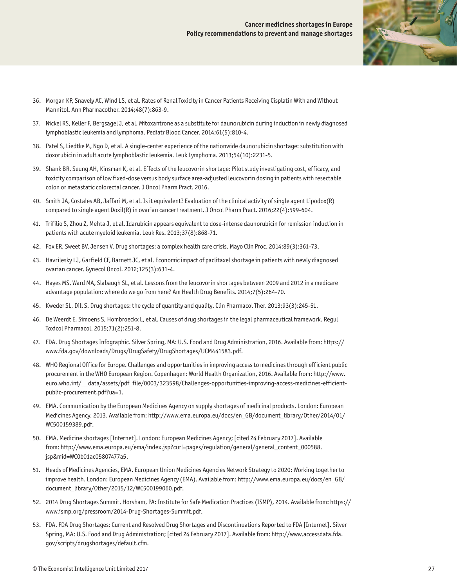

- 36. Morgan KP, Snavely AC, Wind LS, et al. Rates of Renal Toxicity in Cancer Patients Receiving Cisplatin With and Without Mannitol. Ann Pharmacother. 2014;48(7):863-9.
- 37. Nickel RS, Keller F, Bergsagel J, et al. Mitoxantrone as a substitute for daunorubicin during induction in newly diagnosed lymphoblastic leukemia and lymphoma. Pediatr Blood Cancer. 2014;61(5):810-4.
- 38. Patel S, Liedtke M, Ngo D, et al. A single-center experience of the nationwide daunorubicin shortage: substitution with doxorubicin in adult acute lymphoblastic leukemia. Leuk Lymphoma. 2013;54(10):2231-5.
- 39. Shank BR, Seung AH, Kinsman K, et al. Effects of the leucovorin shortage: Pilot study investigating cost, efficacy, and toxicity comparison of low fixed-dose versus body surface area-adjusted leucovorin dosing in patients with resectable colon or metastatic colorectal cancer. J Oncol Pharm Pract. 2016.
- 40. Smith JA, Costales AB, Jaffari M, et al. Is it equivalent? Evaluation of the clinical activity of single agent Lipodox(R) compared to single agent Doxil(R) in ovarian cancer treatment. J Oncol Pharm Pract. 2016;22(4):599-604.
- 41. Trifilio S, Zhou Z, Mehta J, et al. Idarubicin appears equivalent to dose-intense daunorubicin for remission induction in patients with acute myeloid leukemia. Leuk Res. 2013;37(8):868-71.
- 42. Fox ER, Sweet BV, Jensen V. Drug shortages: a complex health care crisis. Mayo Clin Proc. 2014;89(3):361-73.
- 43. Havrilesky LJ, Garfield CF, Barnett JC, et al. Economic impact of paclitaxel shortage in patients with newly diagnosed ovarian cancer. Gynecol Oncol. 2012;125(3):631-4.
- 44. Hayes MS, Ward MA, Slabaugh SL, et al. Lessons from the leucovorin shortages between 2009 and 2012 in a medicare advantage population: where do we go from here? Am Health Drug Benefits. 2014;7(5):264-70.
- 45. Kweder SL, Dill S. Drug shortages: the cycle of quantity and quality. Clin Pharmacol Ther. 2013;93(3):245-51.
- 46. De Weerdt E, Simoens S, Hombroeckx L, et al. Causes of drug shortages in the legal pharmaceutical framework. Regul Toxicol Pharmacol. 2015;71(2):251-8.
- 47. FDA. Drug Shortages Infographic. Silver Spring, MA: U.S. Food and Drug Administration, 2016. Available from: [https://](https://www.fda.gov/downloads/Drugs/DrugSafety/DrugShortages/UCM441583.pdf) [www.fda.gov/downloads/Drugs/DrugSafety/DrugShortages/UCM441583.pdf](https://www.fda.gov/downloads/Drugs/DrugSafety/DrugShortages/UCM441583.pdf).
- 48. WHO Regional Office for Europe. Challenges and opportunities in improving access to medicines through efficient public procurement in the WHO European Region. Copenhagen: World Health Organization, 2016. Available from: [http://www.](http://www.euro.who.int/__data/assets/pdf_file/0003/323598/Challenges-opportunities-improving-access-medicines-efficient-public-procurement.pdf?ua=1) [euro.who.int/\\_\\_data/assets/pdf\\_file/0003/323598/Challenges-opportunities-improving-access-medicines-efficient](http://www.euro.who.int/__data/assets/pdf_file/0003/323598/Challenges-opportunities-improving-access-medicines-efficient-public-procurement.pdf?ua=1)[public-procurement.pdf?ua=1](http://www.euro.who.int/__data/assets/pdf_file/0003/323598/Challenges-opportunities-improving-access-medicines-efficient-public-procurement.pdf?ua=1).
- 49. EMA. Communication by the European Medicines Agency on supply shortages of medicinal products. London: European Medicines Agency, 2013. Available from: [http://www.ema.europa.eu/docs/en\\_GB/document\\_library/Other/2014/01/](http://www.ema.europa.eu/docs/en_GB/document_library/Other/2014/01/WC500159389.pdf) [WC500159389.pdf.](http://www.ema.europa.eu/docs/en_GB/document_library/Other/2014/01/WC500159389.pdf)
- 50. EMA. Medicine shortages [Internet]. London: European Medicines Agency; [cited 24 February 2017]. Available from: [http://www.ema.europa.eu/ema/index.jsp?curl=pages/regulation/general/general\\_content\\_000588.](http://www.ema.europa.eu/ema/index.jsp?curl=pages/regulation/general/general_content_000588.jsp&mid=WC0b01ac05807477a5) [jsp&mid=WC0b01ac05807477a5.](http://www.ema.europa.eu/ema/index.jsp?curl=pages/regulation/general/general_content_000588.jsp&mid=WC0b01ac05807477a5)
- 51. Heads of Medicines Agencies, EMA. European Union Medicines Agencies Network Strategy to 2020: Working together to improve health. London: European Medicines Agency (EMA). Available from: [http://www.ema.europa.eu/docs/en\\_GB/](http://www.ema.europa.eu/docs/en_GB/document_library/Other/2015/12/WC500199060.pdf) [document\\_library/Other/2015/12/WC500199060.pdf](http://www.ema.europa.eu/docs/en_GB/document_library/Other/2015/12/WC500199060.pdf).
- 52. 2014 Drug Shortages Summit. Horsham, PA: Institute for Safe Medication Practices (ISMP), 2014. Available from: [https://](https://www.ismp.org/pressroom/2014-Drug-Shortages-Summit.pdf) [www.ismp.org/pressroom/2014-Drug-Shortages-Summit.pdf.](https://www.ismp.org/pressroom/2014-Drug-Shortages-Summit.pdf)
- 53. FDA. FDA Drug Shortages: Current and Resolved Drug Shortages and Discontinuations Reported to FDA [Internet]. Silver Spring, MA: U.S. Food and Drug Administration; [cited 24 February 2017]. Available from: [http://www.accessdata.fda.](http://www.accessdata.fda.gov/scripts/drugshortages/default.cfm) [gov/scripts/drugshortages/default.cfm.](http://www.accessdata.fda.gov/scripts/drugshortages/default.cfm)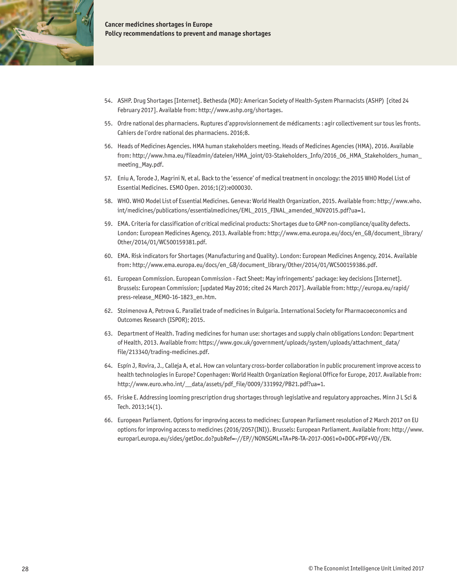

- 54. ASHP. Drug Shortages [Internet]. Bethesda (MD): American Society of Health-System Pharmacists (ASHP) [cited 24 February 2017]. Available from:<http://www.ashp.org/shortages>.
- 55. Ordre national des pharmaciens. Ruptures d'approvisionnement de médicaments : agir collectivement sur tous les fronts. Cahiers de l'ordre national des pharmaciens. 2016;8.
- 56. Heads of Medicines Agencies. HMA human stakeholders meeting. Heads of Medicines Agencies (HMA), 2016. Available from: [http://www.hma.eu/fileadmin/dateien/HMA\\_joint/03-Stakeholders\\_Info/2016\\_06\\_HMA\\_Stakeholders\\_human\\_](http://www.hma.eu/fileadmin/dateien/HMA_joint/03-Stakeholders_Info/2016_06_HMA_Stakeholders_human_meeting_May.pdf) [meeting\\_May.pdf.](http://www.hma.eu/fileadmin/dateien/HMA_joint/03-Stakeholders_Info/2016_06_HMA_Stakeholders_human_meeting_May.pdf)
- 57. Eniu A, Torode J, Magrini N, et al. Back to the 'essence' of medical treatment in oncology: the 2015 WHO Model List of Essential Medicines. ESMO Open. 2016;1(2):e000030.
- 58. WHO. WHO Model List of Essential Medicines. Geneva: World Health Organization, 2015. Available from: [http://www.who.](http://www.who.int/medicines/publications/essentialmedicines/EML_2015_FINAL_amended_NOV2015.pdf?ua=1) [int/medicines/publications/essentialmedicines/EML\\_2015\\_FINAL\\_amended\\_NOV2015.pdf?ua=1.](http://www.who.int/medicines/publications/essentialmedicines/EML_2015_FINAL_amended_NOV2015.pdf?ua=1)
- 59. EMA. Criteria for classification of critical medicinal products: Shortages due to GMP non-compliance/quality defects. London: European Medicines Agency, 2013. Available from: [http://www.ema.europa.eu/docs/en\\_GB/document\\_library/](http://www.ema.europa.eu/docs/en_GB/document_library/Other/2014/01/WC500159381.pdf) [Other/2014/01/WC500159381.pdf](http://www.ema.europa.eu/docs/en_GB/document_library/Other/2014/01/WC500159381.pdf).
- 60. EMA. Risk indicators for Shortages (Manufacturing and Quality). London: European Medicines Angency, 2014. Available from: [http://www.ema.europa.eu/docs/en\\_GB/document\\_library/Other/2014/01/WC500159386.pdf](http://www.ema.europa.eu/docs/en_GB/document_library/Other/2014/01/WC500159386.pdf).
- 61. European Commission. European Commission Fact Sheet: May infringements' package: key decisions [Internet]. Brussels: European Commission; [updated May 2016; cited 24 March 2017]. Available from: [http://europa.eu/rapid/](http://europa.eu/rapid/press-release_MEMO-16-1823_en.htm) [press-release\\_MEMO-16-1823\\_en.htm.](http://europa.eu/rapid/press-release_MEMO-16-1823_en.htm)
- 62. Stoimenova A, Petrova G. Parallel trade of medicines in Bulgaria. International Society for Pharmacoeconomics and Outcomes Research (ISPOR); 2015.
- 63. Department of Health. Trading medicines for human use: shortages and supply chain obligations London: Department of Health, 2013. Available from: [https://www.gov.uk/government/uploads/system/uploads/attachment\\_data/](https://www.gov.uk/government/uploads/system/uploads/attachment_data/file/213340/trading-medicines.pdf) [file/213340/trading-medicines.pdf](https://www.gov.uk/government/uploads/system/uploads/attachment_data/file/213340/trading-medicines.pdf).
- 64. Espín J, Rovira, J., Calleja A, et al. How can voluntary cross-border collaboration in public procurement improve access to health technologies in Europe? Copenhagen: World Health Organization Regional Office for Europe, 2017. Available from: [http://www.euro.who.int/\\_\\_data/assets/pdf\\_file/0009/331992/PB21.pdf?ua=1](http://www.euro.who.int/__data/assets/pdf_file/0009/331992/PB21.pdf?ua=1).
- 65. Friske E. Addressing looming prescription drug shortages through legislative and regulatory approaches. Minn J L Sci & Tech. 2013;14(1).
- 66. European Parliament. Options for improving access to medicines: European Parliament resolution of 2 March 2017 on EU options for improving access to medicines (2016/2057(INI)). Brussels: European Parliament. Available from: [http://www.](http://www.europarl.europa.eu/sides/getDoc.do?pubRef=-//EP//NONSGML+TA+P8-TA-2017-0061+0+DOC+PDF+V0//EN) [europarl.europa.eu/sides/getDoc.do?pubRef=-//EP//NONSGML+TA+P8-TA-2017-0061+0+DOC+PDF+V0//EN.](http://www.europarl.europa.eu/sides/getDoc.do?pubRef=-//EP//NONSGML+TA+P8-TA-2017-0061+0+DOC+PDF+V0//EN)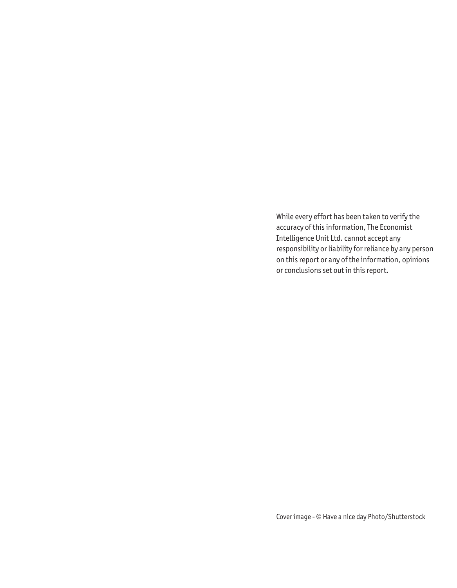While every effort has been taken to verify the accuracy of this information, The Economist Intelligence Unit Ltd. cannot accept any responsibility or liability for reliance by any person on this report or any of the information, opinions or conclusions set out in this report.

Cover image - © Have a nice day Photo/Shutterstock